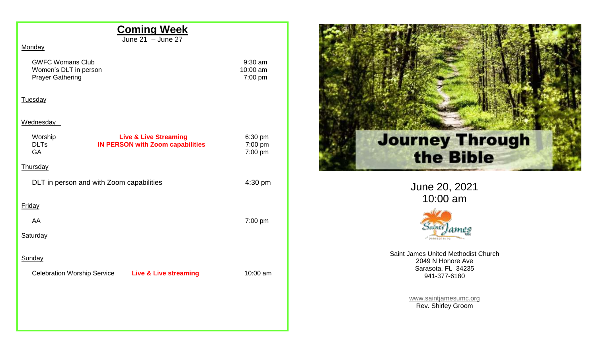| <b>Coming Week</b><br>June $21 -$ June $27$                                                                        |                                  |
|--------------------------------------------------------------------------------------------------------------------|----------------------------------|
| Monday                                                                                                             |                                  |
| <b>GWFC Womans Club</b><br>Women's DLT in person<br><b>Prayer Gathering</b>                                        | $9:30$ am<br>10:00 am<br>7:00 pm |
| <b>Tuesday</b>                                                                                                     |                                  |
| <b>Wednesday</b>                                                                                                   |                                  |
| Worship<br><b>Live &amp; Live Streaming</b><br><b>DLTs</b><br><b>IN PERSON with Zoom capabilities</b><br><b>GA</b> | 6:30 pm<br>7:00 pm<br>7:00 pm    |
| <b>Thursday</b>                                                                                                    |                                  |
| DLT in person and with Zoom capabilities                                                                           | 4:30 pm                          |
| Friday                                                                                                             |                                  |
| AA                                                                                                                 | 7:00 pm                          |
| <b>Saturday</b>                                                                                                    |                                  |
| Sunday                                                                                                             |                                  |
| Celebration Worship Service Live & Live streaming                                                                  | 10:00 am                         |
|                                                                                                                    |                                  |
|                                                                                                                    |                                  |
|                                                                                                                    |                                  |
|                                                                                                                    |                                  |



June 20, 2021 10:00 am



Saint James United Methodist Church 2049 N Honore Ave Sarasota, FL 34235 941-377-6180

> [www.saintjamesumc.org](http://www.saintjamesumc.org/) Rev. Shirley Groom